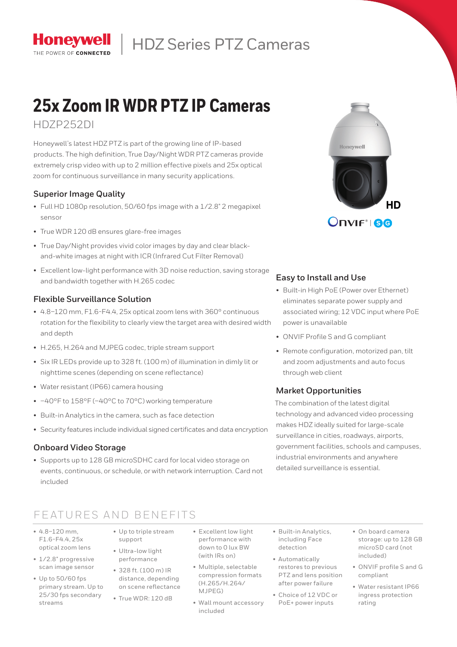

# HDZ Series PTZ Cameras

# **25x Zoom IR WDR PTZ IP Cameras**

## HDZP252DI

Honeywell's latest HDZ PTZ is part of the growing line of IP-based products. The high definition, True Day/Night WDR PTZ cameras provide extremely crisp video with up to 2 million effective pixels and 25x optical zoom for continuous surveillance in many security applications.

### **Superior Image Quality**

- Full HD 1080p resolution, 50/60 fps image with a 1/2.8" 2 megapixel sensor
- True WDR 120 dB ensures glare-free images
- True Day/Night provides vivid color images by day and clear blackand-white images at night with ICR (Infrared Cut Filter Removal)
- Excellent low-light performance with 3D noise reduction, saving storage and bandwidth together with H.265 codec

#### **Flexible Surveillance Solution**

- 4.8–120 mm, F1.6-F4.4, 25x optical zoom lens with 360° continuous rotation for the flexibility to clearly view the target area with desired width and depth
- H.265, H.264 and MJPEG codec, triple stream support
- Six IR LEDs provide up to 328 ft. (100 m) of illumination in dimly lit or nighttime scenes (depending on scene reflectance)
- Water resistant (IP66) camera housing
- –40°F to 158°F (–40°C to 70°C) working temperature
- Built-in Analytics in the camera, such as face detection
- Security features include individual signed certificates and data encryption

#### **Onboard Video Storage**

• Supports up to 128 GB microSDHC card for local video storage on events, continuous, or schedule, or with network interruption. Card not included

# **Honevwell** HD Onvif®I 80

### **Easy to Install and Use**

- Built-in High PoE (Power over Ethernet) eliminates separate power supply and associated wiring; 12 VDC input where PoE power is unavailable
- ONVIF Profile S and G compliant
- Remote configuration, motorized pan, tilt and zoom adjustments and auto focus through web client

#### **Market Opportunities**

The combination of the latest digital technology and advanced video processing makes HDZ ideally suited for large-scale surveillance in cities, roadways, airports, government facilities, schools and campuses, industrial environments and anywhere detailed surveillance is essential.

## FEATURES AND BENEFITS

- $4.8 1.20$  mm F1.6-F4.4, 25x optical zoom lens
- 1/2.8" progressive scan image sensor
- Up to 50/60 fps primary stream. Up to 25/30 fps secondary streams
- Up to triple stream support
- Ultra-low light performance
- 328 ft. (100 m) IR distance, depending on scene reflectance
- True WDR: 120 dB
- Excellent low light performance with down to 0 lux BW (with IRs on)
- Multiple, selectable compression formats (H.265/H.264/ MJPEG)
- Wall mount accessory included
- Built-in Analytics, including Face detection
- Automatically restores to previous PTZ and lens position after power failure
- Choice of 12 VDC or PoE+ power inputs
- On board camera storage: up to 128 GB microSD card (not included)
- ONVIF profile S and G compliant
- Water resistant IP66 ingress protection rating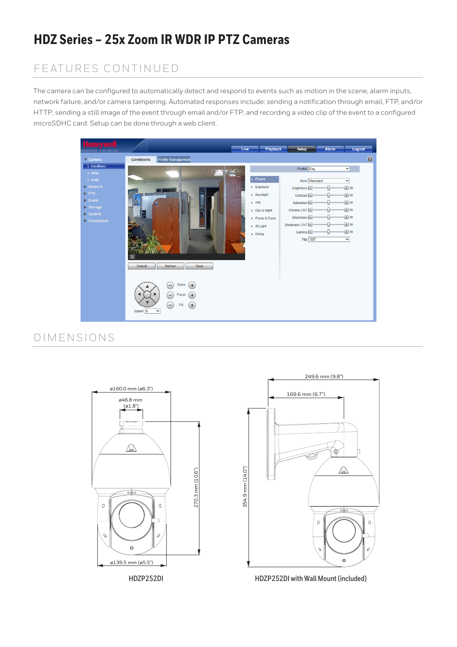# **HDZ Series – 25x Zoom IR WDR IP PTZ Cameras**

## FEATURES CONTINUED

The camera can be configured to automatically detect and respond to events such as motion in the scene, alarm inputs, network failure, and/or camera tampering. Automated responses include: sending a notification through email, FTP, and/or HTTP; sending a still image of the event through email and/or FTP; and recording a video clip of the event to a configured microSDHC card. Setup can be done through a web client.



## DIMENSIONS

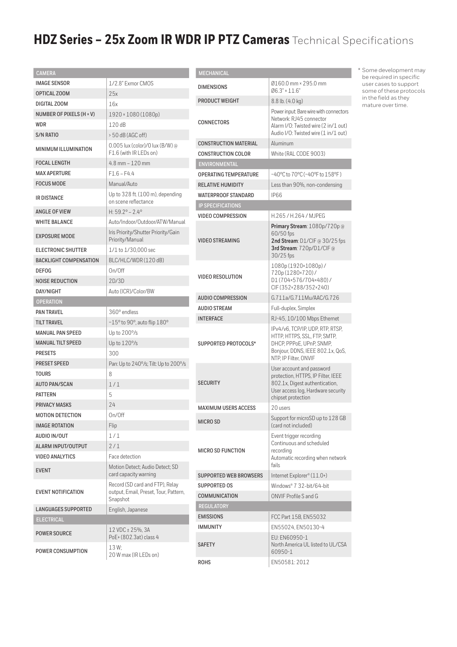# **HDZ Series – 25x Zoom IR WDR IP PTZ Cameras** Technical Specifications

| <b>CAMERA</b>                 |                                                                                      | <b>MECHAN</b>                      |
|-------------------------------|--------------------------------------------------------------------------------------|------------------------------------|
| <b>IMAGE SENSOR</b>           | 1/2.8" Exmor CMOS                                                                    | <b>DIMENSI</b>                     |
| OPTICAL ZOOM                  | 25x                                                                                  |                                    |
| DIGITAL ZOOM                  | 16x                                                                                  | PRODUC <sup>®</sup>                |
| NUMBER OF PIXELS (H × V)      | 1920 × 1080 (1080p)                                                                  |                                    |
| WDR                           | 120 dB                                                                               | CONNEC <sup>®</sup>                |
| S/N RATIO                     | $>$ 50 dB (AGC off)                                                                  |                                    |
| <b>MINIMUM ILLUMINATION</b>   | 0.005 lux (color)/0 lux (B/W) @<br>F1.6 (with IR LEDs on)                            | <b>CONSTRU</b><br><b>CONSTRU</b>   |
| <b>FOCAL LENGTH</b>           | $4.8$ mm $-120$ mm                                                                   | <b>ENVIRON</b>                     |
| <b>MAX APERTURE</b>           | $F16 - F44$                                                                          | <b>OPERATII</b>                    |
| <b>FOCUS MODE</b>             | Manual/Auto                                                                          | <b>RELATIVE</b>                    |
| <b>IR DISTANCE</b>            | Up to $328$ ft. $(100 \text{ m})$ , depending<br>on scene reflectance                | <b>WATERPF</b><br><b>IP SPECII</b> |
| <b>ANGLE OF VIEW</b>          | H: $59.2^{\circ} - 2.4^{\circ}$                                                      | VIDEO CO                           |
| <b>WHITE BALANCE</b>          | Auto/Indoor/Outdoor/ATW/Manual                                                       |                                    |
| <b>EXPOSURE MODE</b>          | Iris Priority/Shutter Priority/Gain<br>Priority/Manual                               | <b>VIDEO ST</b>                    |
| ELECTRONIC SHUTTER            | 1/1 to 1/30,000 sec                                                                  |                                    |
| <b>BACKLIGHT COMPENSATION</b> | BLC/HLC/WDR(120dB)                                                                   |                                    |
| <b>DEFOG</b>                  | On/Off                                                                               |                                    |
| <b>NOISE REDUCTION</b>        | 2D/3D                                                                                | <b>VIDEO RE</b>                    |
| DAY/NIGHT                     | Auto (ICR)/Color/BW                                                                  |                                    |
| <b>OPERATION</b>              |                                                                                      | <b>AUDIO CO</b>                    |
| <b>PAN TRAVEL</b>             | 360° endless                                                                         | <b>AUDIO ST</b>                    |
| <b>TILT TRAVEL</b>            | $-15^{\circ}$ to 90°, auto flip $180^{\circ}$                                        | <b>INTERFA</b>                     |
| <b>MANUAL PAN SPEED</b>       | Up to $200\%$                                                                        |                                    |
| <b>MANUAL TILT SPEED</b>      | Up to 120%                                                                           | <b>SUPPORT</b>                     |
| <b>PRESETS</b>                | 300                                                                                  |                                    |
| <b>PRESET SPEED</b>           | Pan: Up to 240°/s; Tilt: Up to 200°/s                                                |                                    |
| TOURS                         | 8                                                                                    |                                    |
| <b>AUTO PAN/SCAN</b>          | 1/1                                                                                  | <b>SECURIT</b>                     |
| <b>PATTERN</b>                | 5                                                                                    |                                    |
| <b>PRIVACY MASKS</b>          | 24                                                                                   | MAXIMUI                            |
| <b>MOTION DETECTION</b>       | On/Off                                                                               |                                    |
| <b>IMAGE ROTATION</b>         | Flip                                                                                 | <b>MICRO SI</b>                    |
| AUDIO IN/OUT                  | 1/1                                                                                  |                                    |
| <b>ALARM INPUT/OUTPUT</b>     | 2/1                                                                                  | <b>MICRO SI</b>                    |
| <b>VIDEO ANALYTICS</b>        | Face detection                                                                       |                                    |
| <b>EVENT</b>                  | Motion Detect; Audio Detect; SD<br>card capacity warning                             | <b>SUPPORT</b>                     |
| <b>EVENT NOTIFICATION</b>     | Record (SD card and FTP), Relay<br>output, Email, Preset, Tour, Pattern,<br>Snapshot | <b>SUPPORT</b><br><b>COMMUN</b>    |
| <b>LANGUAGES SUPPORTED</b>    | English, Japanese                                                                    | <b>REGULAT</b>                     |
| <b>ELECTRICAL</b>             |                                                                                      | <b>EMISSIOI</b>                    |
| <b>POWER SOURCE</b>           | 12 VDC ± 25%, 3A<br>PoE+ (802.3at) class 4                                           | <b>IMMUNIT</b>                     |
| POWER CONSUMPTION             | 13 W:<br>20 W max (IR LEDs on)                                                       | <b>SAFETY</b><br><b>DURC</b>       |
|                               |                                                                                      |                                    |

| <b>MECHANICAL</b>             |                                                                                                                                                               |
|-------------------------------|---------------------------------------------------------------------------------------------------------------------------------------------------------------|
| <b>DIMENSIONS</b>             | Ø160.0 mm × 295.0 mm<br>$06.3" \times 11.6"$                                                                                                                  |
| PRODUCT WEIGHT                | $8.8$ lb. $(4.0 \text{ kg})$                                                                                                                                  |
| CONNECTORS                    | Power input: Bare wire with connectors<br>Network: RJ45 connector<br>Alarm I/O: Twisted wire (2 in/1 out)<br>Audio I/O: Twisted wire (1 in/1 out)             |
| <b>CONSTRUCTION MATERIAL</b>  | Aluminum                                                                                                                                                      |
| <b>CONSTRUCTION COLOR</b>     | White (RAL CODE 9003)                                                                                                                                         |
| ENVIRONMENTAL                 |                                                                                                                                                               |
| <b>OPERATING TEMPERATURE</b>  | -40°C to 70°C (-40°F to 158°F)                                                                                                                                |
| <b>RELATIVE HUMIDITY</b>      | Less than 90%, non-condensing                                                                                                                                 |
| <b>WATERPROOF STANDARD</b>    | <b>IP66</b>                                                                                                                                                   |
| <b>IP SPECIFICATIONS</b>      |                                                                                                                                                               |
| <b>VIDEO COMPRESSION</b>      | H.265/H.264/MJPEG                                                                                                                                             |
| <b>VIDEO STREAMING</b>        | Primary Stream: 1080p/720p@<br>60/50 fps<br>2nd Stream: D1/CIF @ 30/25 fps<br>3rd Stream: 720p/D1/CIF @<br>30/25 fps                                          |
| <b>VIDEO RESOLUTION</b>       | 1080p(1920×1080p)/<br>720p(1280×720)/<br>D1(704×576/704×480)/<br>CIF(352×288/352×240)                                                                         |
| <b>AUDIO COMPRESSION</b>      | G.711a/G.711Mu/AAC/G.726                                                                                                                                      |
| <b>AUDIO STREAM</b>           | Full-duplex, Simplex                                                                                                                                          |
| <b>INTERFACE</b>              | RJ-45, 10/100 Mbps Ethernet                                                                                                                                   |
| SUPPORTED PROTOCOLS*          | IPv4/v6, TCP/IP, UDP, RTP, RTSP,<br>HTTP, HTTPS, SSL, FTP, SMTP,<br>DHCP, PPPoE, UPnP, SNMP,<br>Bonjour, DDNS, IEEE 802.1x, QoS,<br>NTP, IP Filter, ONVIF     |
| <b>SECURITY</b>               | User account and password<br>protection, HTTPS, IP Filter, IEEE<br>802.1x, Digest authentication,<br>User access log, Hardware security<br>chipset protection |
| <b>MAXIMUM USERS ACCESS</b>   | 20 users                                                                                                                                                      |
| MICRO SD                      | Support for microSD up to 128 GB<br>(card not included)                                                                                                       |
| <b>MICRO SD FUNCTION</b>      | Event trigger recording<br>Continuous and scheduled<br>recordina<br>Automatic recording when network<br>fails                                                 |
| <b>SUPPORTED WEB BROWSERS</b> | Internet Explorer® (11.0+)                                                                                                                                    |
| <b>SUPPORTED OS</b>           | Windows® 7 32-bit/64-bit                                                                                                                                      |
| <b>COMMUNICATION</b>          | ONVIF Profile S and G                                                                                                                                         |
| <b>REGULATORY</b>             |                                                                                                                                                               |
| <b>EMISSIONS</b>              | FCC Part 15B, EN55032                                                                                                                                         |
| IMMUNITY                      | EN55024, EN50130-4                                                                                                                                            |
| <b>SAFETY</b>                 | EU: EN60950-1<br>North America UL listed to UL/CSA<br>60950-1                                                                                                 |
| <b>ROHS</b>                   | EN50581:2012                                                                                                                                                  |
|                               |                                                                                                                                                               |

\* Some development may be required in specific user cases to support some of these protocols in the field as they mature over time.